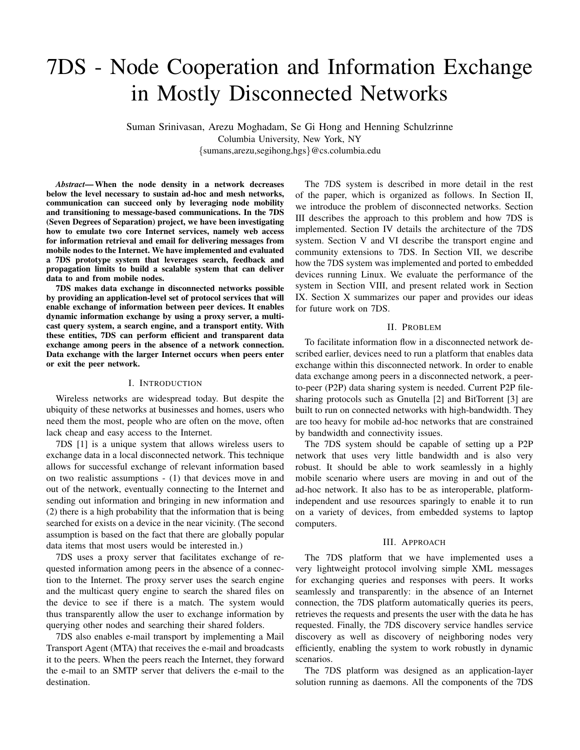# 7DS - Node Cooperation and Information Exchange in Mostly Disconnected Networks

Suman Srinivasan, Arezu Moghadam, Se Gi Hong and Henning Schulzrinne Columbia University, New York, NY {sumans,arezu,segihong,hgs}@cs.columbia.edu

*Abstract*— When the node density in a network decreases below the level necessary to sustain ad-hoc and mesh networks, communication can succeed only by leveraging node mobility and transitioning to message-based communications. In the 7DS (Seven Degrees of Separation) project, we have been investigating how to emulate two core Internet services, namely web access for information retrieval and email for delivering messages from mobile nodes to the Internet. We have implemented and evaluated a 7DS prototype system that leverages search, feedback and propagation limits to build a scalable system that can deliver data to and from mobile nodes.

7DS makes data exchange in disconnected networks possible by providing an application-level set of protocol services that will enable exchange of information between peer devices. It enables dynamic information exchange by using a proxy server, a multicast query system, a search engine, and a transport entity. With these entities, 7DS can perform efficient and transparent data exchange among peers in the absence of a network connection. Data exchange with the larger Internet occurs when peers enter or exit the peer network.

#### I. INTRODUCTION

Wireless networks are widespread today. But despite the ubiquity of these networks at businesses and homes, users who need them the most, people who are often on the move, often lack cheap and easy access to the Internet.

7DS [1] is a unique system that allows wireless users to exchange data in a local disconnected network. This technique allows for successful exchange of relevant information based on two realistic assumptions - (1) that devices move in and out of the network, eventually connecting to the Internet and sending out information and bringing in new information and (2) there is a high probability that the information that is being searched for exists on a device in the near vicinity. (The second assumption is based on the fact that there are globally popular data items that most users would be interested in.)

7DS uses a proxy server that facilitates exchange of requested information among peers in the absence of a connection to the Internet. The proxy server uses the search engine and the multicast query engine to search the shared files on the device to see if there is a match. The system would thus transparently allow the user to exchange information by querying other nodes and searching their shared folders.

7DS also enables e-mail transport by implementing a Mail Transport Agent (MTA) that receives the e-mail and broadcasts it to the peers. When the peers reach the Internet, they forward the e-mail to an SMTP server that delivers the e-mail to the destination.

The 7DS system is described in more detail in the rest of the paper, which is organized as follows. In Section II, we introduce the problem of disconnected networks. Section III describes the approach to this problem and how 7DS is implemented. Section IV details the architecture of the 7DS system. Section V and VI describe the transport engine and community extensions to 7DS. In Section VII, we describe how the 7DS system was implemented and ported to embedded devices running Linux. We evaluate the performance of the system in Section VIII, and present related work in Section IX. Section X summarizes our paper and provides our ideas for future work on 7DS.

## II. PROBLEM

To facilitate information flow in a disconnected network described earlier, devices need to run a platform that enables data exchange within this disconnected network. In order to enable data exchange among peers in a disconnected network, a peerto-peer (P2P) data sharing system is needed. Current P2P filesharing protocols such as Gnutella [2] and BitTorrent [3] are built to run on connected networks with high-bandwidth. They are too heavy for mobile ad-hoc networks that are constrained by bandwidth and connectivity issues.

The 7DS system should be capable of setting up a P2P network that uses very little bandwidth and is also very robust. It should be able to work seamlessly in a highly mobile scenario where users are moving in and out of the ad-hoc network. It also has to be as interoperable, platformindependent and use resources sparingly to enable it to run on a variety of devices, from embedded systems to laptop computers.

#### III. APPROACH

The 7DS platform that we have implemented uses a very lightweight protocol involving simple XML messages for exchanging queries and responses with peers. It works seamlessly and transparently: in the absence of an Internet connection, the 7DS platform automatically queries its peers, retrieves the requests and presents the user with the data he has requested. Finally, the 7DS discovery service handles service discovery as well as discovery of neighboring nodes very efficiently, enabling the system to work robustly in dynamic scenarios.

The 7DS platform was designed as an application-layer solution running as daemons. All the components of the 7DS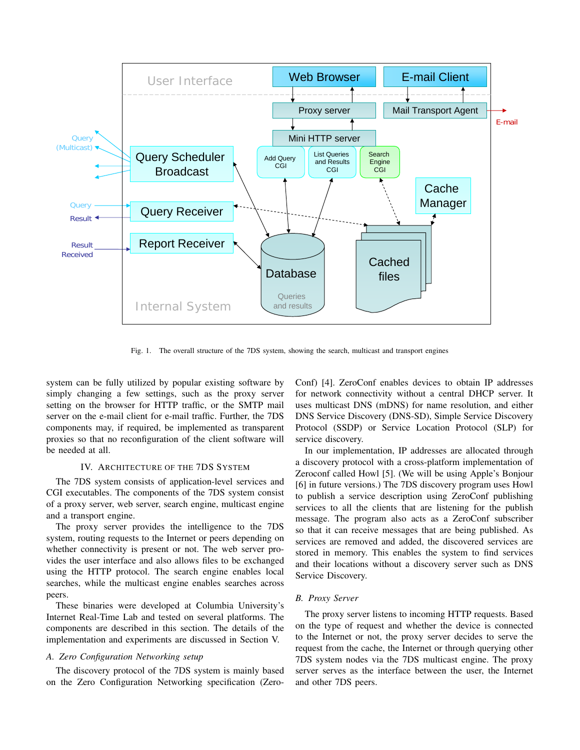

Fig. 1. The overall structure of the 7DS system, showing the search, multicast and transport engines

system can be fully utilized by popular existing software by simply changing a few settings, such as the proxy server setting on the browser for HTTP traffic, or the SMTP mail server on the e-mail client for e-mail traffic. Further, the 7DS components may, if required, be implemented as transparent proxies so that no reconfiguration of the client software will be needed at all.

## IV. ARCHITECTURE OF THE 7DS SYSTEM

The 7DS system consists of application-level services and CGI executables. The components of the 7DS system consist of a proxy server, web server, search engine, multicast engine and a transport engine.

The proxy server provides the intelligence to the 7DS system, routing requests to the Internet or peers depending on whether connectivity is present or not. The web server provides the user interface and also allows files to be exchanged using the HTTP protocol. The search engine enables local searches, while the multicast engine enables searches across peers.

These binaries were developed at Columbia University's Internet Real-Time Lab and tested on several platforms. The components are described in this section. The details of the implementation and experiments are discussed in Section V.

#### *A. Zero Configuration Networking setup*

The discovery protocol of the 7DS system is mainly based on the Zero Configuration Networking specification (ZeroConf) [4]. ZeroConf enables devices to obtain IP addresses for network connectivity without a central DHCP server. It uses multicast DNS (mDNS) for name resolution, and either DNS Service Discovery (DNS-SD), Simple Service Discovery Protocol (SSDP) or Service Location Protocol (SLP) for service discovery.

In our implementation, IP addresses are allocated through a discovery protocol with a cross-platform implementation of Zeroconf called Howl [5]. (We will be using Apple's Bonjour [6] in future versions.) The 7DS discovery program uses Howl to publish a service description using ZeroConf publishing services to all the clients that are listening for the publish message. The program also acts as a ZeroConf subscriber so that it can receive messages that are being published. As services are removed and added, the discovered services are stored in memory. This enables the system to find services and their locations without a discovery server such as DNS Service Discovery.

#### *B. Proxy Server*

The proxy server listens to incoming HTTP requests. Based on the type of request and whether the device is connected to the Internet or not, the proxy server decides to serve the request from the cache, the Internet or through querying other 7DS system nodes via the 7DS multicast engine. The proxy server serves as the interface between the user, the Internet and other 7DS peers.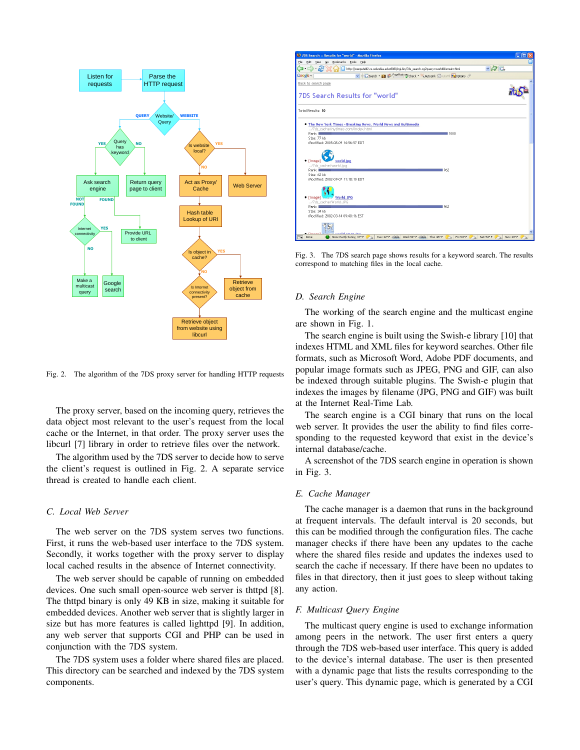

Fig. 2. The algorithm of the 7DS proxy server for handling HTTP requests

The proxy server, based on the incoming query, retrieves the data object most relevant to the user's request from the local cache or the Internet, in that order. The proxy server uses the libcurl [7] library in order to retrieve files over the network.

The algorithm used by the 7DS server to decide how to serve the client's request is outlined in Fig. 2. A separate service thread is created to handle each client.

## *C. Local Web Server*

The web server on the 7DS system serves two functions. First, it runs the web-based user interface to the 7DS system. Secondly, it works together with the proxy server to display local cached results in the absence of Internet connectivity.

The web server should be capable of running on embedded devices. One such small open-source web server is thttpd [8]. The thttpd binary is only 49 KB in size, making it suitable for embedded devices. Another web server that is slightly larger in size but has more features is called lighttpd [9]. In addition, any web server that supports CGI and PHP can be used in conjunction with the 7DS system.

The 7DS system uses a folder where shared files are placed. This directory can be searched and indexed by the 7DS system components.



Fig. 3. The 7DS search page shows results for a keyword search. The results correspond to matching files in the local cache.

#### *D. Search Engine*

The working of the search engine and the multicast engine are shown in Fig. 1.

The search engine is built using the Swish-e library [10] that indexes HTML and XML files for keyword searches. Other file formats, such as Microsoft Word, Adobe PDF documents, and popular image formats such as JPEG, PNG and GIF, can also be indexed through suitable plugins. The Swish-e plugin that indexes the images by filename (JPG, PNG and GIF) was built at the Internet Real-Time Lab.

The search engine is a CGI binary that runs on the local web server. It provides the user the ability to find files corresponding to the requested keyword that exist in the device's internal database/cache.

A screenshot of the 7DS search engine in operation is shown in Fig. 3.

## *E. Cache Manager*

The cache manager is a daemon that runs in the background at frequent intervals. The default interval is 20 seconds, but this can be modified through the configuration files. The cache manager checks if there have been any updates to the cache where the shared files reside and updates the indexes used to search the cache if necessary. If there have been no updates to files in that directory, then it just goes to sleep without taking any action.

# *F. Multicast Query Engine*

The multicast query engine is used to exchange information among peers in the network. The user first enters a query through the 7DS web-based user interface. This query is added to the device's internal database. The user is then presented with a dynamic page that lists the results corresponding to the user's query. This dynamic page, which is generated by a CGI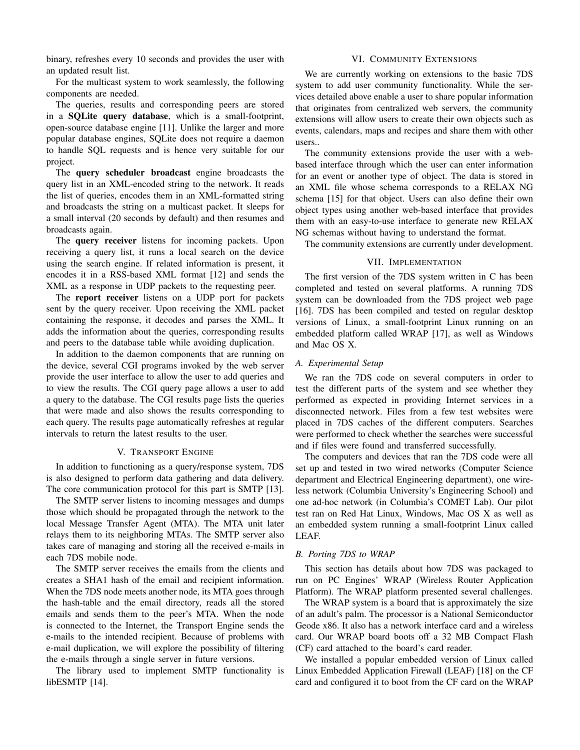binary, refreshes every 10 seconds and provides the user with an updated result list.

# VI. COMMUNITY EXTENSIONS

For the multicast system to work seamlessly, the following components are needed.

The queries, results and corresponding peers are stored in a SQLite query database, which is a small-footprint, open-source database engine [11]. Unlike the larger and more popular database engines, SQLite does not require a daemon to handle SQL requests and is hence very suitable for our project.

The query scheduler broadcast engine broadcasts the query list in an XML-encoded string to the network. It reads the list of queries, encodes them in an XML-formatted string and broadcasts the string on a multicast packet. It sleeps for a small interval (20 seconds by default) and then resumes and broadcasts again.

The query receiver listens for incoming packets. Upon receiving a query list, it runs a local search on the device using the search engine. If related information is present, it encodes it in a RSS-based XML format [12] and sends the XML as a response in UDP packets to the requesting peer.

The report receiver listens on a UDP port for packets sent by the query receiver. Upon receiving the XML packet containing the response, it decodes and parses the XML. It adds the information about the queries, corresponding results and peers to the database table while avoiding duplication.

In addition to the daemon components that are running on the device, several CGI programs invoked by the web server provide the user interface to allow the user to add queries and to view the results. The CGI query page allows a user to add a query to the database. The CGI results page lists the queries that were made and also shows the results corresponding to each query. The results page automatically refreshes at regular intervals to return the latest results to the user.

#### V. TRANSPORT ENGINE

In addition to functioning as a query/response system, 7DS is also designed to perform data gathering and data delivery. The core communication protocol for this part is SMTP [13].

The SMTP server listens to incoming messages and dumps those which should be propagated through the network to the local Message Transfer Agent (MTA). The MTA unit later relays them to its neighboring MTAs. The SMTP server also takes care of managing and storing all the received e-mails in each 7DS mobile node.

The SMTP server receives the emails from the clients and creates a SHA1 hash of the email and recipient information. When the 7DS node meets another node, its MTA goes through the hash-table and the email directory, reads all the stored emails and sends them to the peer's MTA. When the node is connected to the Internet, the Transport Engine sends the e-mails to the intended recipient. Because of problems with e-mail duplication, we will explore the possibility of filtering the e-mails through a single server in future versions.

The library used to implement SMTP functionality is libESMTP [14].

We are currently working on extensions to the basic 7DS system to add user community functionality. While the services detailed above enable a user to share popular information that originates from centralized web servers, the community extensions will allow users to create their own objects such as events, calendars, maps and recipes and share them with other users..

The community extensions provide the user with a webbased interface through which the user can enter information for an event or another type of object. The data is stored in an XML file whose schema corresponds to a RELAX NG schema [15] for that object. Users can also define their own object types using another web-based interface that provides them with an easy-to-use interface to generate new RELAX NG schemas without having to understand the format.

The community extensions are currently under development.

#### VII. IMPLEMENTATION

The first version of the 7DS system written in C has been completed and tested on several platforms. A running 7DS system can be downloaded from the 7DS project web page [16]. 7DS has been compiled and tested on regular desktop versions of Linux, a small-footprint Linux running on an embedded platform called WRAP [17], as well as Windows and Mac OS X.

#### *A. Experimental Setup*

We ran the 7DS code on several computers in order to test the different parts of the system and see whether they performed as expected in providing Internet services in a disconnected network. Files from a few test websites were placed in 7DS caches of the different computers. Searches were performed to check whether the searches were successful and if files were found and transferred successfully.

The computers and devices that ran the 7DS code were all set up and tested in two wired networks (Computer Science department and Electrical Engineering department), one wireless network (Columbia University's Engineering School) and one ad-hoc network (in Columbia's COMET Lab). Our pilot test ran on Red Hat Linux, Windows, Mac OS X as well as an embedded system running a small-footprint Linux called LEAF.

#### *B. Porting 7DS to WRAP*

This section has details about how 7DS was packaged to run on PC Engines' WRAP (Wireless Router Application Platform). The WRAP platform presented several challenges.

The WRAP system is a board that is approximately the size of an adult's palm. The processor is a National Semiconductor Geode x86. It also has a network interface card and a wireless card. Our WRAP board boots off a 32 MB Compact Flash (CF) card attached to the board's card reader.

We installed a popular embedded version of Linux called Linux Embedded Application Firewall (LEAF) [18] on the CF card and configured it to boot from the CF card on the WRAP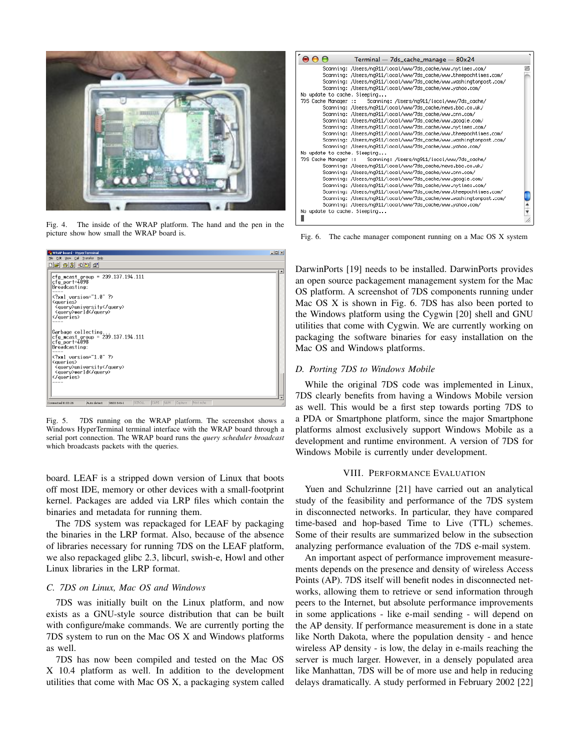

Fig. 4. The inside of the WRAP platform. The hand and the pen in the picture show how small the WRAP board is.



Fig. 5. 7DS running on the WRAP platform. The screenshot shows a Windows HyperTerminal terminal interface with the WRAP board through a serial port connection. The WRAP board runs the *query scheduler broadcast* which broadcasts packets with the queries.

board. LEAF is a stripped down version of Linux that boots off most IDE, memory or other devices with a small-footprint kernel. Packages are added via LRP files which contain the binaries and metadata for running them.

The 7DS system was repackaged for LEAF by packaging the binaries in the LRP format. Also, because of the absence of libraries necessary for running 7DS on the LEAF platform, we also repackaged glibc 2.3, libcurl, swish-e, Howl and other Linux libraries in the LRP format.

# *C. 7DS on Linux, Mac OS and Windows*

7DS was initially built on the Linux platform, and now exists as a GNU-style source distribution that can be built with configure/make commands. We are currently porting the 7DS system to run on the Mac OS X and Windows platforms as well.

7DS has now been compiled and tested on the Mac OS X 10.4 platform as well. In addition to the development utilities that come with Mac OS X, a packaging system called



Fig. 6. The cache manager component running on a Mac OS X system

DarwinPorts [19] needs to be installed. DarwinPorts provides an open source packagement management system for the Mac OS platform. A screenshot of 7DS components running under Mac OS X is shown in Fig. 6. 7DS has also been ported to the Windows platform using the Cygwin [20] shell and GNU utilities that come with Cygwin. We are currently working on packaging the software binaries for easy installation on the Mac OS and Windows platforms.

#### *D. Porting 7DS to Windows Mobile*

While the original 7DS code was implemented in Linux, 7DS clearly benefits from having a Windows Mobile version as well. This would be a first step towards porting 7DS to a PDA or Smartphone platform, since the major Smartphone platforms almost exclusively support Windows Mobile as a development and runtime environment. A version of 7DS for Windows Mobile is currently under development.

#### VIII. PERFORMANCE EVALUATION

Yuen and Schulzrinne [21] have carried out an analytical study of the feasibility and performance of the 7DS system in disconnected networks. In particular, they have compared time-based and hop-based Time to Live (TTL) schemes. Some of their results are summarized below in the subsection analyzing performance evaluation of the 7DS e-mail system.

An important aspect of performance improvement measurements depends on the presence and density of wireless Access Points (AP). 7DS itself will benefit nodes in disconnected networks, allowing them to retrieve or send information through peers to the Internet, but absolute performance improvements in some applications - like e-mail sending - will depend on the AP density. If performance measurement is done in a state like North Dakota, where the population density - and hence wireless AP density - is low, the delay in e-mails reaching the server is much larger. However, in a densely populated area like Manhattan, 7DS will be of more use and help in reducing delays dramatically. A study performed in February 2002 [22]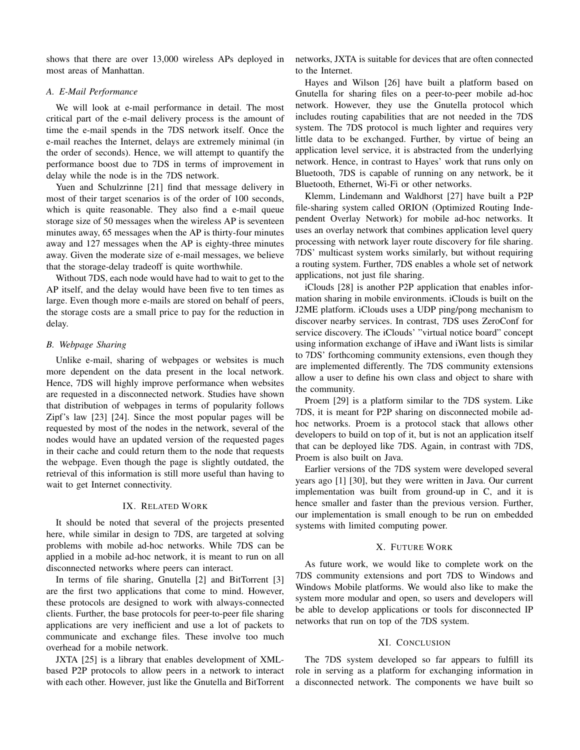shows that there are over 13,000 wireless APs deployed in most areas of Manhattan.

## *A. E-Mail Performance*

We will look at e-mail performance in detail. The most critical part of the e-mail delivery process is the amount of time the e-mail spends in the 7DS network itself. Once the e-mail reaches the Internet, delays are extremely minimal (in the order of seconds). Hence, we will attempt to quantify the performance boost due to 7DS in terms of improvement in delay while the node is in the 7DS network.

Yuen and Schulzrinne [21] find that message delivery in most of their target scenarios is of the order of 100 seconds, which is quite reasonable. They also find a e-mail queue storage size of 50 messages when the wireless AP is seventeen minutes away, 65 messages when the AP is thirty-four minutes away and 127 messages when the AP is eighty-three minutes away. Given the moderate size of e-mail messages, we believe that the storage-delay tradeoff is quite worthwhile.

Without 7DS, each node would have had to wait to get to the AP itself, and the delay would have been five to ten times as large. Even though more e-mails are stored on behalf of peers, the storage costs are a small price to pay for the reduction in delay.

## *B. Webpage Sharing*

Unlike e-mail, sharing of webpages or websites is much more dependent on the data present in the local network. Hence, 7DS will highly improve performance when websites are requested in a disconnected network. Studies have shown that distribution of webpages in terms of popularity follows Zipf's law [23] [24]. Since the most popular pages will be requested by most of the nodes in the network, several of the nodes would have an updated version of the requested pages in their cache and could return them to the node that requests the webpage. Even though the page is slightly outdated, the retrieval of this information is still more useful than having to wait to get Internet connectivity.

#### IX. RELATED WORK

It should be noted that several of the projects presented here, while similar in design to 7DS, are targeted at solving problems with mobile ad-hoc networks. While 7DS can be applied in a mobile ad-hoc network, it is meant to run on all disconnected networks where peers can interact.

In terms of file sharing, Gnutella [2] and BitTorrent [3] are the first two applications that come to mind. However, these protocols are designed to work with always-connected clients. Further, the base protocols for peer-to-peer file sharing applications are very inefficient and use a lot of packets to communicate and exchange files. These involve too much overhead for a mobile network.

JXTA [25] is a library that enables development of XMLbased P2P protocols to allow peers in a network to interact with each other. However, just like the Gnutella and BitTorrent networks, JXTA is suitable for devices that are often connected to the Internet.

Hayes and Wilson [26] have built a platform based on Gnutella for sharing files on a peer-to-peer mobile ad-hoc network. However, they use the Gnutella protocol which includes routing capabilities that are not needed in the 7DS system. The 7DS protocol is much lighter and requires very little data to be exchanged. Further, by virtue of being an application level service, it is abstracted from the underlying network. Hence, in contrast to Hayes' work that runs only on Bluetooth, 7DS is capable of running on any network, be it Bluetooth, Ethernet, Wi-Fi or other networks.

Klemm, Lindemann and Waldhorst [27] have built a P2P file-sharing system called ORION (Optimized Routing Independent Overlay Network) for mobile ad-hoc networks. It uses an overlay network that combines application level query processing with network layer route discovery for file sharing. 7DS' multicast system works similarly, but without requiring a routing system. Further, 7DS enables a whole set of network applications, not just file sharing.

iClouds [28] is another P2P application that enables information sharing in mobile environments. iClouds is built on the J2ME platform. iClouds uses a UDP ping/pong mechanism to discover nearby services. In contrast, 7DS uses ZeroConf for service discovery. The iClouds' "virtual notice board" concept using information exchange of iHave and iWant lists is similar to 7DS' forthcoming community extensions, even though they are implemented differently. The 7DS community extensions allow a user to define his own class and object to share with the community.

Proem [29] is a platform similar to the 7DS system. Like 7DS, it is meant for P2P sharing on disconnected mobile adhoc networks. Proem is a protocol stack that allows other developers to build on top of it, but is not an application itself that can be deployed like 7DS. Again, in contrast with 7DS, Proem is also built on Java.

Earlier versions of the 7DS system were developed several years ago [1] [30], but they were written in Java. Our current implementation was built from ground-up in C, and it is hence smaller and faster than the previous version. Further, our implementation is small enough to be run on embedded systems with limited computing power.

## X. FUTURE WORK

As future work, we would like to complete work on the 7DS community extensions and port 7DS to Windows and Windows Mobile platforms. We would also like to make the system more modular and open, so users and developers will be able to develop applications or tools for disconnected IP networks that run on top of the 7DS system.

#### XI. CONCLUSION

The 7DS system developed so far appears to fulfill its role in serving as a platform for exchanging information in a disconnected network. The components we have built so